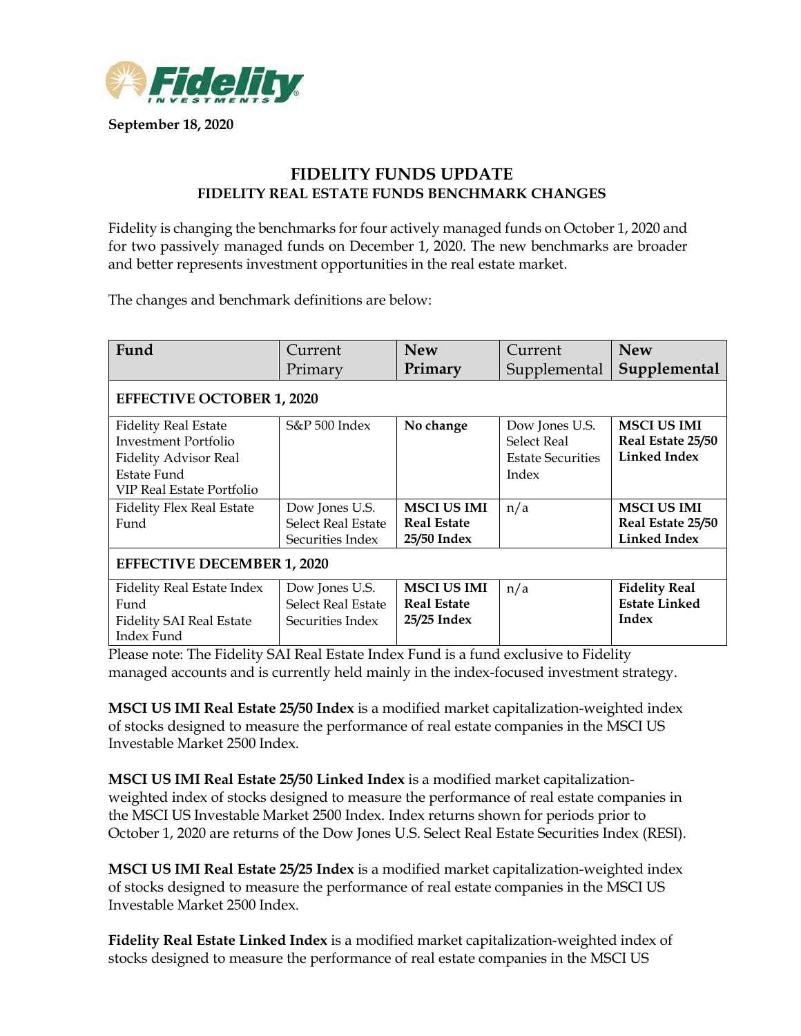

**September 18, 2020**

## **FIDELITY FUNDS UPDATE FIDELITY REAL ESTATE FUNDS BENCHMARK CHANGES**

Fidelity is changing the benchmarks for four actively managed funds on October 1, 2020 and for two passively managed funds on December 1, 2020. The new benchmarks are broader and better represents investment opportunities in the real estate market.

The changes and benchmark definitions are below:

| Fund                              | Current                   | <b>New</b>         | Current                  | <b>New</b>           |
|-----------------------------------|---------------------------|--------------------|--------------------------|----------------------|
|                                   | Primary                   | Primary            | Supplemental             | Supplemental         |
| <b>EFFECTIVE OCTOBER 1, 2020</b>  |                           |                    |                          |                      |
| <b>Fidelity Real Estate</b>       | S&P 500 Index             | No change          | Dow Jones U.S.           | <b>MSCI US IMI</b>   |
| Investment Portfolio              |                           |                    | <b>Select Real</b>       | Real Estate 25/50    |
| <b>Fidelity Advisor Real</b>      |                           |                    | <b>Estate Securities</b> | <b>Linked Index</b>  |
| Estate Fund                       |                           |                    | Index                    |                      |
| VIP Real Estate Portfolio         |                           |                    |                          |                      |
| <b>Fidelity Flex Real Estate</b>  | Dow Jones U.S.            | <b>MSCI US IMI</b> | n/a                      | <b>MSCI US IMI</b>   |
| Fund                              | Select Real Estate        | <b>Real Estate</b> |                          | Real Estate 25/50    |
|                                   | Securities Index          | 25/50 Index        |                          | <b>Linked Index</b>  |
| <b>EFFECTIVE DECEMBER 1, 2020</b> |                           |                    |                          |                      |
| Fidelity Real Estate Index        | Dow Jones U.S.            | <b>MSCI US IMI</b> | n/a                      | <b>Fidelity Real</b> |
| Fund                              | <b>Select Real Estate</b> | <b>Real Estate</b> |                          | <b>Estate Linked</b> |
| <b>Fidelity SAI Real Estate</b>   | Securities Index          | 25/25 Index        |                          | Index                |
| Index Fund                        |                           |                    |                          |                      |

Please note: The Fidelity SAI Real Estate Index Fund is a fund exclusive to Fidelity managed accounts and is currently held mainly in the index-focused investment strategy.

**MSCI US IMI Real Estate 25/50 Index** is a modified market capitalization-weighted index of stocks designed to measure the performance of real estate companies in the MSCI US Investable Market 2500 Index.

**MSCI US IMI Real Estate 25/50 Linked Index** is a modified market capitalizationweighted index of stocks designed to measure the performance of real estate companies in the MSCI US Investable Market 2500 Index. Index returns shown for periods prior to October 1, 2020 are returns of the Dow Jones U.S. Select Real Estate Securities Index (RESI).

**MSCI US IMI Real Estate 25/25 Index** is a modified market capitalization-weighted index of stocks designed to measure the performance of real estate companies in the MSCI US Investable Market 2500 Index.

**Fidelity Real Estate Linked Index** is a modified market capitalization-weighted index of stocks designed to measure the performance of real estate companies in the MSCI US